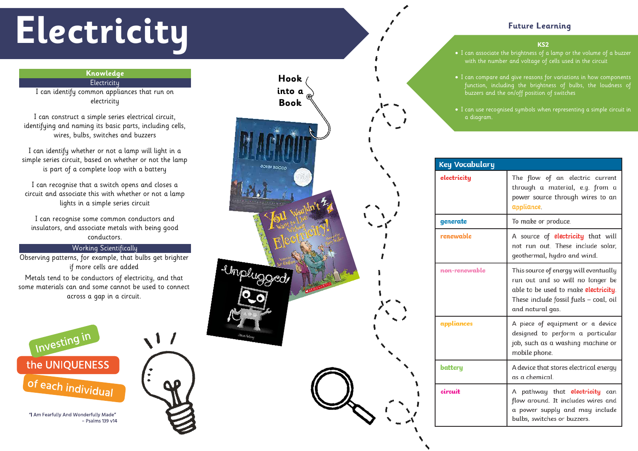# **Electricity Future Learning**

## **KS2**

• I can associate the brightness of a lamp or the volume of a buzzer with the number and voltage of cells used in the circuit

# **Knowledge Electricity**

• I can compare and give reasons for variations in how components function, including the brightness of bulbs, the loudness of buzzers and the on/off position of switches

• I can use recognised symbols when representing a simple circuit in

| lary |                                                                                                                                                                                         |
|------|-----------------------------------------------------------------------------------------------------------------------------------------------------------------------------------------|
|      | The flow of an electric current<br>through a material, e.g. from a<br>power source through wires to an<br>appliance.                                                                    |
|      | To make or produce.                                                                                                                                                                     |
|      | A source of electricity that will<br>not run out. These include solar,<br>geothermal, hydro and wind.                                                                                   |
| le   | This source of energy will eventually<br>run out and so will no longer be<br>able to be used to make <b>electricity</b> .<br>These include fossil fuels – coal, oil<br>and natural gas. |
|      | A piece of equipment or a device<br>designed to perform a particular<br>job, such as a washing machine or<br>mobile phone.                                                              |
|      | A device that stores electrical energy<br>as a chemical.                                                                                                                                |
|      | A pathway that <b>electricity</b> can<br>flow around. It includes wires and<br>a power supply and may include<br>bulbs, switches or buzzers.                                            |

I can identify common appliances that run on electricity

I can construct a simple series electrical circuit, identifying and naming its basic parts, including cells, wires, bulbs, switches and buzzers

I can identify whether or not a lamp will light in a simple series circuit, based on whether or not the lamp is part of a complete loop with a battery



I can recognise that a switch opens and closes a circuit and associate this with whether or not a lamp lights in a simple series circuit

I can recognise some common conductors and insulators, and associate metals with being good conductors.

# Working Scientifically

Observing patterns, for example, that bulbs get brighter if more cells are added

Metals tend to be conductors of electricity, and that some materials can and some cannot be used to connect across a gap in a circuit.



"I Am Fearfully And Wonderfully Made"  $-$  Psalms 139 v14